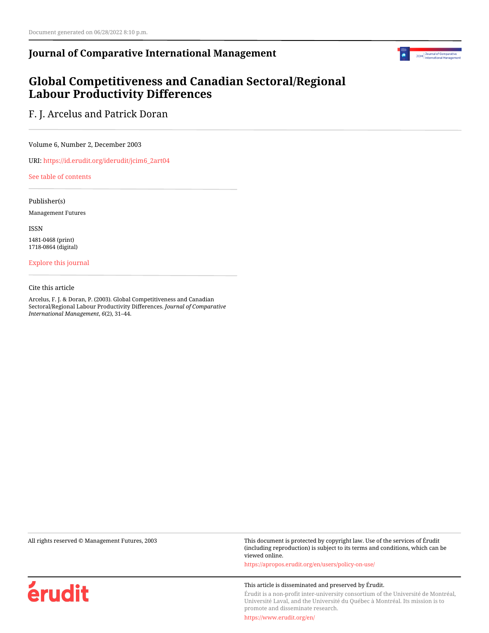# **Journal of Comparative International Management**



# **Global Competitiveness and Canadian Sectoral/Regional Labour Productivity Differences**

F. J. Arcelus and Patrick Doran

Volume 6, Number 2, December 2003

URI: [https://id.erudit.org/iderudit/jcim6\\_2art04](https://id.erudit.org/iderudit/jcim6_2art04)

[See table of contents](https://www.erudit.org/en/journals/jcim/2003-v6-n2-jcim_6_2/)

Publisher(s)

Management Futures

ISSN

1481-0468 (print) 1718-0864 (digital)

[Explore this journal](https://www.erudit.org/en/journals/jcim/)

Cite this article

Arcelus, F. J. & Doran, P. (2003). Global Competitiveness and Canadian Sectoral/Regional Labour Productivity Differences. *Journal of Comparative International Management*, *6*(2), 31–44.

érudit

All rights reserved © Management Futures, 2003 This document is protected by copyright law. Use of the services of Érudit (including reproduction) is subject to its terms and conditions, which can be viewed online.

<https://apropos.erudit.org/en/users/policy-on-use/>

#### This article is disseminated and preserved by Érudit.

Érudit is a non-profit inter-university consortium of the Université de Montréal, Université Laval, and the Université du Québec à Montréal. Its mission is to promote and disseminate research.

<https://www.erudit.org/en/>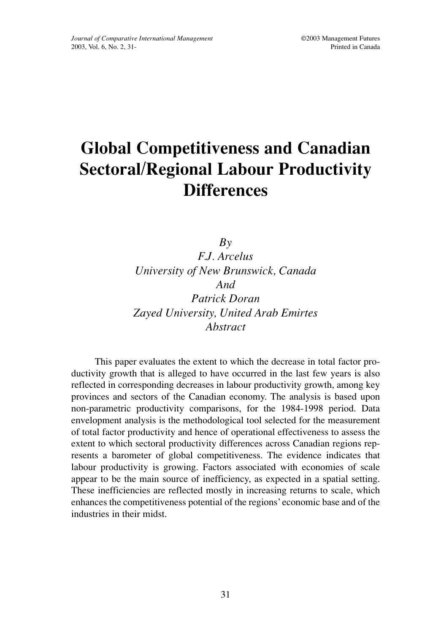# **Global Competitiveness and Canadian Sectoral/Regional Labour Productivity Differences**

*By F.J. Arcelus University of New Brunswick, Canada And Patrick Doran Zayed University, United Arab Emirtes Abstract*

This paper evaluates the extent to which the decrease in total factor productivity growth that is alleged to have occurred in the last few years is also reflected in corresponding decreases in labour productivity growth, among key provinces and sectors of the Canadian economy. The analysis is based upon non-parametric productivity comparisons, for the 1984-1998 period. Data envelopment analysis is the methodological tool selected for the measurement of total factor productivity and hence of operational effectiveness to assess the extent to which sectoral productivity differences across Canadian regions represents a barometer of global competitiveness. The evidence indicates that labour productivity is growing. Factors associated with economies of scale appear to be the main source of inefficiency, as expected in a spatial setting. These inefficiencies are reflected mostly in increasing returns to scale, which enhances the competitiveness potential of the regions' economic base and of the industries in their midst.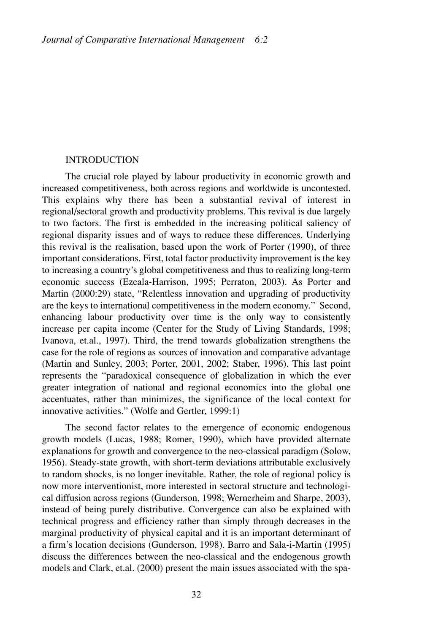#### INTRODUCTION

The crucial role played by labour productivity in economic growth and increased competitiveness, both across regions and worldwide is uncontested. This explains why there has been a substantial revival of interest in regional/sectoral growth and productivity problems. This revival is due largely to two factors. The first is embedded in the increasing political saliency of regional disparity issues and of ways to reduce these differences. Underlying this revival is the realisation, based upon the work of Porter (1990), of three important considerations. First, total factor productivity improvement is the key to increasing a country's global competitiveness and thus to realizing long-term economic success (Ezeala-Harrison, 1995; Perraton, 2003). As Porter and Martin (2000:29) state, "Relentless innovation and upgrading of productivity are the keys to international competitiveness in the modern economy." Second, enhancing labour productivity over time is the only way to consistently increase per capita income (Center for the Study of Living Standards, 1998; Ivanova, et.al., 1997). Third, the trend towards globalization strengthens the case for the role of regions as sources of innovation and comparative advantage (Martin and Sunley, 2003; Porter, 2001, 2002; Staber, 1996). This last point represents the "paradoxical consequence of globalization in which the ever greater integration of national and regional economics into the global one accentuates, rather than minimizes, the significance of the local context for innovative activities." (Wolfe and Gertler, 1999:1)

The second factor relates to the emergence of economic endogenous growth models (Lucas, 1988; Romer, 1990), which have provided alternate explanations for growth and convergence to the neo-classical paradigm (Solow, 1956). Steady-state growth, with short-term deviations attributable exclusively to random shocks, is no longer inevitable. Rather, the role of regional policy is now more interventionist, more interested in sectoral structure and technological diffusion across regions (Gunderson, 1998; Wernerheim and Sharpe, 2003), instead of being purely distributive. Convergence can also be explained with technical progress and efficiency rather than simply through decreases in the marginal productivity of physical capital and it is an important determinant of a firm's location decisions (Gunderson, 1998). Barro and Sala-i-Martin (1995) discuss the differences between the neo-classical and the endogenous growth models and Clark, et.al. (2000) present the main issues associated with the spa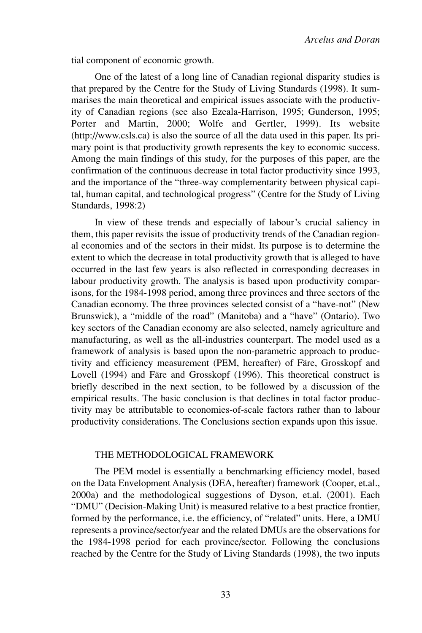tial component of economic growth.

One of the latest of a long line of Canadian regional disparity studies is that prepared by the Centre for the Study of Living Standards (1998). It summarises the main theoretical and empirical issues associate with the productivity of Canadian regions (see also Ezeala-Harrison, 1995; Gunderson, 1995; Porter and Martin, 2000; Wolfe and Gertler, 1999). Its website (http://www.csls.ca) is also the source of all the data used in this paper. Its primary point is that productivity growth represents the key to economic success. Among the main findings of this study, for the purposes of this paper, are the confirmation of the continuous decrease in total factor productivity since 1993, and the importance of the "three-way complementarity between physical capital, human capital, and technological progress" (Centre for the Study of Living Standards, 1998:2)

In view of these trends and especially of labour's crucial saliency in them, this paper revisits the issue of productivity trends of the Canadian regional economies and of the sectors in their midst. Its purpose is to determine the extent to which the decrease in total productivity growth that is alleged to have occurred in the last few years is also reflected in corresponding decreases in labour productivity growth. The analysis is based upon productivity comparisons, for the 1984-1998 period, among three provinces and three sectors of the Canadian economy. The three provinces selected consist of a "have-not" (New Brunswick), a "middle of the road" (Manitoba) and a "have" (Ontario). Two key sectors of the Canadian economy are also selected, namely agriculture and manufacturing, as well as the all-industries counterpart. The model used as a framework of analysis is based upon the non-parametric approach to productivity and efficiency measurement (PEM, hereafter) of Färe, Grosskopf and Lovell (1994) and Färe and Grosskopf (1996). This theoretical construct is briefly described in the next section, to be followed by a discussion of the empirical results. The basic conclusion is that declines in total factor productivity may be attributable to economies-of-scale factors rather than to labour productivity considerations. The Conclusions section expands upon this issue.

## THE METHODOLOGICAL FRAMEWORK

The PEM model is essentially a benchmarking efficiency model, based on the Data Envelopment Analysis (DEA, hereafter) framework (Cooper, et.al., 2000a) and the methodological suggestions of Dyson, et.al. (2001). Each "DMU" (Decision-Making Unit) is measured relative to a best practice frontier, formed by the performance, i.e. the efficiency, of "related" units. Here, a DMU represents a province/sector/year and the related DMUs are the observations for the 1984-1998 period for each province/sector. Following the conclusions reached by the Centre for the Study of Living Standards (1998), the two inputs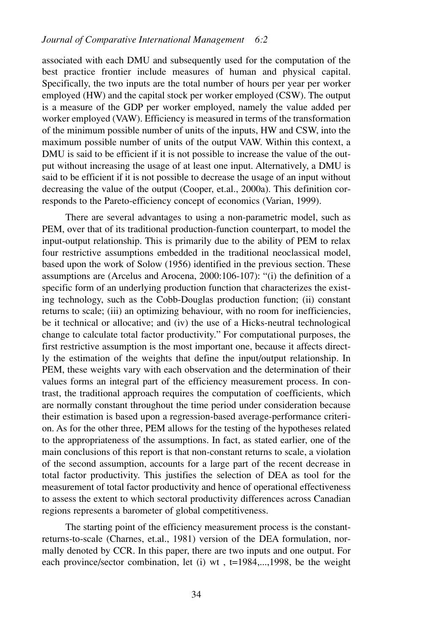associated with each DMU and subsequently used for the computation of the best practice frontier include measures of human and physical capital. Specifically, the two inputs are the total number of hours per year per worker employed (HW) and the capital stock per worker employed (CSW). The output is a measure of the GDP per worker employed, namely the value added per worker employed (VAW). Efficiency is measured in terms of the transformation of the minimum possible number of units of the inputs, HW and CSW, into the maximum possible number of units of the output VAW. Within this context, a DMU is said to be efficient if it is not possible to increase the value of the output without increasing the usage of at least one input. Alternatively, a DMU is said to be efficient if it is not possible to decrease the usage of an input without decreasing the value of the output (Cooper, et.al., 2000a). This definition corresponds to the Pareto-efficiency concept of economics (Varian, 1999).

There are several advantages to using a non-parametric model, such as PEM, over that of its traditional production-function counterpart, to model the input-output relationship. This is primarily due to the ability of PEM to relax four restrictive assumptions embedded in the traditional neoclassical model, based upon the work of Solow (1956) identified in the previous section. These assumptions are (Arcelus and Arocena, 2000:106-107): "(i) the definition of a specific form of an underlying production function that characterizes the existing technology, such as the Cobb-Douglas production function; (ii) constant returns to scale; (iii) an optimizing behaviour, with no room for inefficiencies, be it technical or allocative; and (iv) the use of a Hicks-neutral technological change to calculate total factor productivity." For computational purposes, the first restrictive assumption is the most important one, because it affects directly the estimation of the weights that define the input/output relationship. In PEM, these weights vary with each observation and the determination of their values forms an integral part of the efficiency measurement process. In contrast, the traditional approach requires the computation of coefficients, which are normally constant throughout the time period under consideration because their estimation is based upon a regression-based average-performance criterion. As for the other three, PEM allows for the testing of the hypotheses related to the appropriateness of the assumptions. In fact, as stated earlier, one of the main conclusions of this report is that non-constant returns to scale, a violation of the second assumption, accounts for a large part of the recent decrease in total factor productivity. This justifies the selection of DEA as tool for the measurement of total factor productivity and hence of operational effectiveness to assess the extent to which sectoral productivity differences across Canadian regions represents a barometer of global competitiveness.

The starting point of the efficiency measurement process is the constantreturns-to-scale (Charnes, et.al., 1981) version of the DEA formulation, normally denoted by CCR. In this paper, there are two inputs and one output. For each province/sector combination, let (i) wt , t=1984,...,1998, be the weight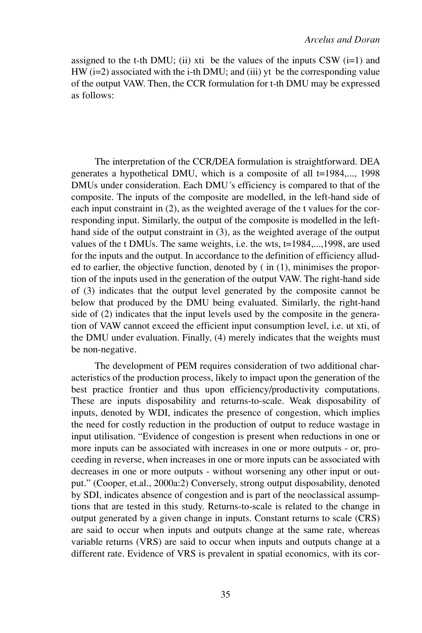assigned to the t-th DMU; (ii) xti be the values of the inputs CSW  $(i=1)$  and HW (i=2) associated with the i-th DMU; and (iii) yt be the corresponding value of the output VAW. Then, the CCR formulation for t-th DMU may be expressed as follows:

The interpretation of the CCR/DEA formulation is straightforward. DEA generates a hypothetical DMU, which is a composite of all t=1984,..., 1998 DMUs under consideration. Each DMU´s efficiency is compared to that of the composite. The inputs of the composite are modelled, in the left-hand side of each input constraint in (2), as the weighted average of the t values for the corresponding input. Similarly, the output of the composite is modelled in the lefthand side of the output constraint in (3), as the weighted average of the output values of the t DMUs. The same weights, i.e. the wts, t=1984,...,1998, are used for the inputs and the output. In accordance to the definition of efficiency alluded to earlier, the objective function, denoted by ( in (1), minimises the proportion of the inputs used in the generation of the output VAW. The right-hand side of (3) indicates that the output level generated by the composite cannot be below that produced by the DMU being evaluated. Similarly, the right-hand side of (2) indicates that the input levels used by the composite in the generation of VAW cannot exceed the efficient input consumption level, i.e. ut xti, of the DMU under evaluation. Finally, (4) merely indicates that the weights must be non-negative.

The development of PEM requires consideration of two additional characteristics of the production process, likely to impact upon the generation of the best practice frontier and thus upon efficiency/productivity computations. These are inputs disposability and returns-to-scale. Weak disposability of inputs, denoted by WDI, indicates the presence of congestion, which implies the need for costly reduction in the production of output to reduce wastage in input utilisation. "Evidence of congestion is present when reductions in one or more inputs can be associated with increases in one or more outputs - or, proceeding in reverse, when increases in one or more inputs can be associated with decreases in one or more outputs - without worsening any other input or output." (Cooper, et.al., 2000a:2) Conversely, strong output disposability, denoted by SDI, indicates absence of congestion and is part of the neoclassical assumptions that are tested in this study. Returns-to-scale is related to the change in output generated by a given change in inputs. Constant returns to scale (CRS) are said to occur when inputs and outputs change at the same rate, whereas variable returns (VRS) are said to occur when inputs and outputs change at a different rate. Evidence of VRS is prevalent in spatial economics, with its cor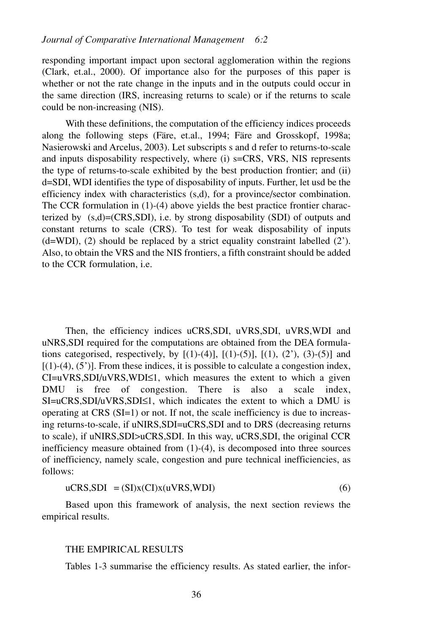responding important impact upon sectoral agglomeration within the regions (Clark, et.al., 2000). Of importance also for the purposes of this paper is whether or not the rate change in the inputs and in the outputs could occur in the same direction (IRS, increasing returns to scale) or if the returns to scale could be non-increasing (NIS).

With these definitions, the computation of the efficiency indices proceeds along the following steps (Färe, et.al., 1994; Färe and Grosskopf, 1998a; Nasierowski and Arcelus, 2003). Let subscripts s and d refer to returns-to-scale and inputs disposability respectively, where (i) s=CRS, VRS, NIS represents the type of returns-to-scale exhibited by the best production frontier; and (ii) d=SDI, WDI identifies the type of disposability of inputs. Further, let usd be the efficiency index with characteristics (s,d), for a province/sector combination. The CCR formulation in (1)-(4) above yields the best practice frontier characterized by  $(s,d)=(CRS, SDI)$ , i.e. by strong disposability  $(SDI)$  of outputs and constant returns to scale (CRS). To test for weak disposability of inputs  $(d=WDI)$ , (2) should be replaced by a strict equality constraint labelled (2). Also, to obtain the VRS and the NIS frontiers, a fifth constraint should be added to the CCR formulation, i.e.

Then, the efficiency indices uCRS, SDI, uVRS, SDI, uVRS, WDI and uNRS,SDI required for the computations are obtained from the DEA formulations categorised, respectively, by  $[(1)-(4)]$ ,  $[(1)-(5)]$ ,  $[(1)$ ,  $(2')$ ,  $(3)-(5)]$  and  $[(1)-(4), (5')]$ . From these indices, it is possible to calculate a congestion index, CI=uVRS,SDI/uVRS,WDI≤1, which measures the extent to which a given DMU is free of congestion. There is also a scale index, SI=uCRS,SDI/uVRS,SDI≤1, which indicates the extent to which a DMU is operating at CRS (SI=1) or not. If not, the scale inefficiency is due to increasing returns-to-scale, if uNIRS,SDI=uCRS,SDI and to DRS (decreasing returns to scale), if uNIRS,SDI>uCRS,SDI. In this way, uCRS,SDI, the original CCR inefficiency measure obtained from (1)-(4), is decomposed into three sources of inefficiency, namely scale, congestion and pure technical inefficiencies, as follows:

$$
uCRS, SDI = (SI)x(CI)x(uVRS, WDI)
$$
 (6)

Based upon this framework of analysis, the next section reviews the empirical results.

#### THE EMPIRICAL RESULTS

Tables 1-3 summarise the efficiency results. As stated earlier, the infor-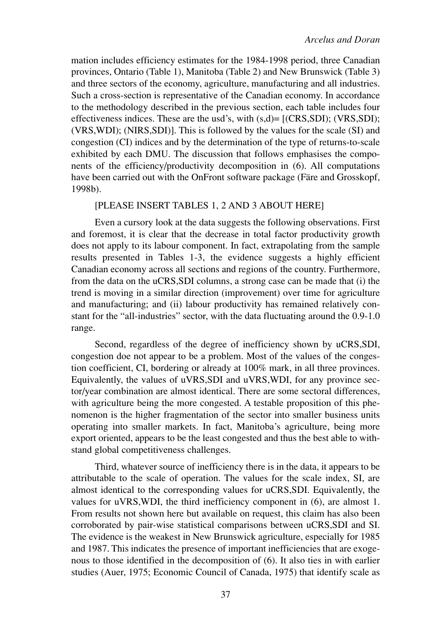mation includes efficiency estimates for the 1984-1998 period, three Canadian provinces, Ontario (Table 1), Manitoba (Table 2) and New Brunswick (Table 3) and three sectors of the economy, agriculture, manufacturing and all industries. Such a cross-section is representative of the Canadian economy. In accordance to the methodology described in the previous section, each table includes four effectiveness indices. These are the usd's, with  $(s,d)$ =  $[(CRS, SDI); (VRS, SDI);$ (VRS,WDI); (NIRS,SDI)]. This is followed by the values for the scale (SI) and congestion (CI) indices and by the determination of the type of returns-to-scale exhibited by each DMU. The discussion that follows emphasises the components of the efficiency/productivity decomposition in (6). All computations have been carried out with the OnFront software package (Färe and Grosskopf, 1998b).

# [PLEASE INSERT TABLES 1, 2 AND 3 ABOUT HERE]

Even a cursory look at the data suggests the following observations. First and foremost, it is clear that the decrease in total factor productivity growth does not apply to its labour component. In fact, extrapolating from the sample results presented in Tables 1-3, the evidence suggests a highly efficient Canadian economy across all sections and regions of the country. Furthermore, from the data on the uCRS,SDI columns, a strong case can be made that (i) the trend is moving in a similar direction (improvement) over time for agriculture and manufacturing; and (ii) labour productivity has remained relatively constant for the "all-industries" sector, with the data fluctuating around the 0.9-1.0 range.

Second, regardless of the degree of inefficiency shown by uCRS,SDI, congestion doe not appear to be a problem. Most of the values of the congestion coefficient, CI, bordering or already at 100% mark, in all three provinces. Equivalently, the values of uVRS,SDI and uVRS,WDI, for any province sector/year combination are almost identical. There are some sectoral differences, with agriculture being the more congested. A testable proposition of this phenomenon is the higher fragmentation of the sector into smaller business units operating into smaller markets. In fact, Manitoba's agriculture, being more export oriented, appears to be the least congested and thus the best able to withstand global competitiveness challenges.

Third, whatever source of inefficiency there is in the data, it appears to be attributable to the scale of operation. The values for the scale index, SI, are almost identical to the corresponding values for uCRS,SDI. Equivalently, the values for uVRS,WDI, the third inefficiency component in (6), are almost 1. From results not shown here but available on request, this claim has also been corroborated by pair-wise statistical comparisons between uCRS,SDI and SI. The evidence is the weakest in New Brunswick agriculture, especially for 1985 and 1987. This indicates the presence of important inefficiencies that are exogenous to those identified in the decomposition of (6). It also ties in with earlier studies (Auer, 1975; Economic Council of Canada, 1975) that identify scale as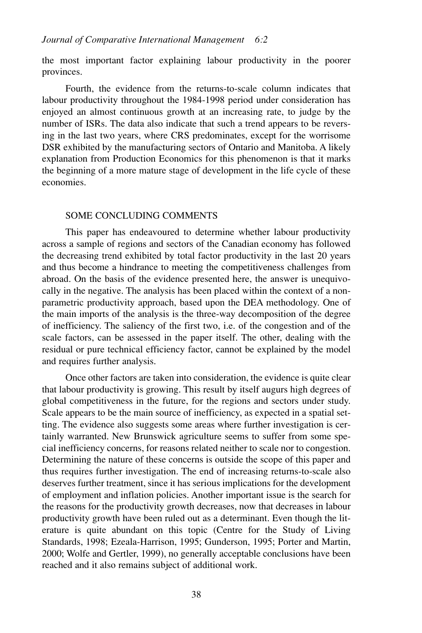the most important factor explaining labour productivity in the poorer provinces.

Fourth, the evidence from the returns-to-scale column indicates that labour productivity throughout the 1984-1998 period under consideration has enjoyed an almost continuous growth at an increasing rate, to judge by the number of ISRs. The data also indicate that such a trend appears to be reversing in the last two years, where CRS predominates, except for the worrisome DSR exhibited by the manufacturing sectors of Ontario and Manitoba. A likely explanation from Production Economics for this phenomenon is that it marks the beginning of a more mature stage of development in the life cycle of these economies.

### SOME CONCLUDING COMMENTS

This paper has endeavoured to determine whether labour productivity across a sample of regions and sectors of the Canadian economy has followed the decreasing trend exhibited by total factor productivity in the last 20 years and thus become a hindrance to meeting the competitiveness challenges from abroad. On the basis of the evidence presented here, the answer is unequivocally in the negative. The analysis has been placed within the context of a nonparametric productivity approach, based upon the DEA methodology. One of the main imports of the analysis is the three-way decomposition of the degree of inefficiency. The saliency of the first two, i.e. of the congestion and of the scale factors, can be assessed in the paper itself. The other, dealing with the residual or pure technical efficiency factor, cannot be explained by the model and requires further analysis.

Once other factors are taken into consideration, the evidence is quite clear that labour productivity is growing. This result by itself augurs high degrees of global competitiveness in the future, for the regions and sectors under study. Scale appears to be the main source of inefficiency, as expected in a spatial setting. The evidence also suggests some areas where further investigation is certainly warranted. New Brunswick agriculture seems to suffer from some special inefficiency concerns, for reasons related neither to scale nor to congestion. Determining the nature of these concerns is outside the scope of this paper and thus requires further investigation. The end of increasing returns-to-scale also deserves further treatment, since it has serious implications for the development of employment and inflation policies. Another important issue is the search for the reasons for the productivity growth decreases, now that decreases in labour productivity growth have been ruled out as a determinant. Even though the literature is quite abundant on this topic (Centre for the Study of Living Standards, 1998; Ezeala-Harrison, 1995; Gunderson, 1995; Porter and Martin, 2000; Wolfe and Gertler, 1999), no generally acceptable conclusions have been reached and it also remains subject of additional work.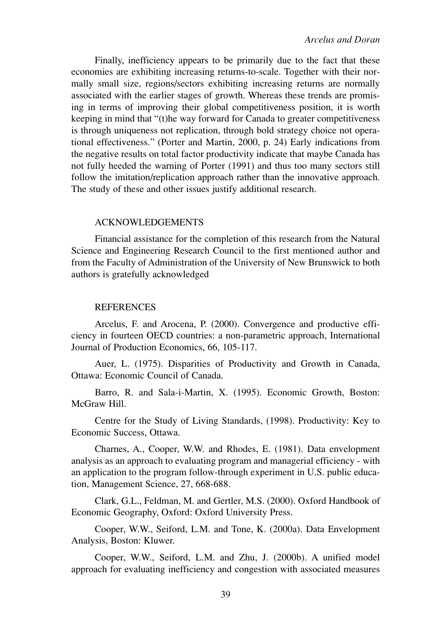Finally, inefficiency appears to be primarily due to the fact that these economies are exhibiting increasing returns-to-scale. Together with their normally small size, regions/sectors exhibiting increasing returns are normally associated with the earlier stages of growth. Whereas these trends are promising in terms of improving their global competitiveness position, it is worth keeping in mind that "(t)he way forward for Canada to greater competitiveness is through uniqueness not replication, through bold strategy choice not operational effectiveness." (Porter and Martin, 2000, p. 24) Early indications from the negative results on total factor productivity indicate that maybe Canada has not fully heeded the warning of Porter (1991) and thus too many sectors still follow the imitation/replication approach rather than the innovative approach. The study of these and other issues justify additional research.

# ACKNOWLEDGEMENTS

Financial assistance for the completion of this research from the Natural Science and Engineering Research Council to the first mentioned author and from the Faculty of Administration of the University of New Brunswick to both authors is gratefully acknowledged

# **REFERENCES**

Arcelus, F. and Arocena, P. (2000). Convergence and productive efficiency in fourteen OECD countries: a non-parametric approach, International Journal of Production Economics, 66, 105-117.

Auer, L. (1975). Disparities of Productivity and Growth in Canada, Ottawa: Economic Council of Canada.

Barro, R. and Sala-i-Martin, X. (1995). Economic Growth, Boston: McGraw Hill.

Centre for the Study of Living Standards, (1998). Productivity: Key to Economic Success, Ottawa.

Charnes, A., Cooper, W.W. and Rhodes, E. (1981). Data envelopment analysis as an approach to evaluating program and managerial efficiency - with an application to the program follow-through experiment in U.S. public education, Management Science, 27, 668-688.

Clark, G.L., Feldman, M. and Gertler, M.S. (2000). Oxford Handbook of Economic Geography, Oxford: Oxford University Press.

Cooper, W.W., Seiford, L.M. and Tone, K. (2000a). Data Envelopment Analysis, Boston: Kluwer.

Cooper, W.W., Seiford, L.M. and Zhu, J. (2000b). A unified model approach for evaluating inefficiency and congestion with associated measures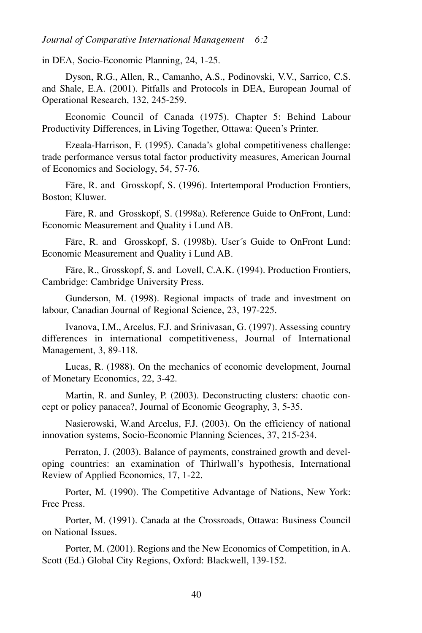in DEA, Socio-Economic Planning, 24, 1-25.

Dyson, R.G., Allen, R., Camanho, A.S., Podinovski, V.V., Sarrico, C.S. and Shale, E.A. (2001). Pitfalls and Protocols in DEA, European Journal of Operational Research, 132, 245-259.

Economic Council of Canada (1975). Chapter 5: Behind Labour Productivity Differences, in Living Together, Ottawa: Queen's Printer.

Ezeala-Harrison, F. (1995). Canada's global competitiveness challenge: trade performance versus total factor productivity measures, American Journal of Economics and Sociology, 54, 57-76.

Färe, R. and Grosskopf, S. (1996). Intertemporal Production Frontiers, Boston; Kluwer.

Färe, R. and Grosskopf, S. (1998a). Reference Guide to OnFront, Lund: Economic Measurement and Quality i Lund AB.

Färe, R. and Grosskopf, S. (1998b). User´s Guide to OnFront Lund: Economic Measurement and Quality i Lund AB.

Färe, R., Grosskopf, S. and Lovell, C.A.K. (1994). Production Frontiers, Cambridge: Cambridge University Press.

Gunderson, M. (1998). Regional impacts of trade and investment on labour, Canadian Journal of Regional Science, 23, 197-225.

Ivanova, I.M., Arcelus, F.J. and Srinivasan, G. (1997). Assessing country differences in international competitiveness, Journal of International Management, 3, 89-118.

Lucas, R. (1988). On the mechanics of economic development, Journal of Monetary Economics, 22, 3-42.

Martin, R. and Sunley, P. (2003). Deconstructing clusters: chaotic concept or policy panacea?, Journal of Economic Geography, 3, 5-35.

Nasierowski, W.and Arcelus, F.J. (2003). On the efficiency of national innovation systems, Socio-Economic Planning Sciences, 37, 215-234.

Perraton, J. (2003). Balance of payments, constrained growth and developing countries: an examination of Thirlwall's hypothesis, International Review of Applied Economics, 17, 1-22.

Porter, M. (1990). The Competitive Advantage of Nations, New York: Free Press.

Porter, M. (1991). Canada at the Crossroads, Ottawa: Business Council on National Issues.

Porter, M. (2001). Regions and the New Economics of Competition, in A. Scott (Ed.) Global City Regions, Oxford: Blackwell, 139-152.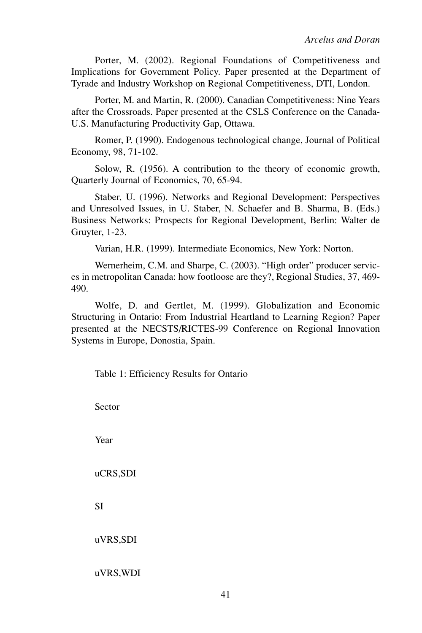Porter, M. (2002). Regional Foundations of Competitiveness and Implications for Government Policy. Paper presented at the Department of Tyrade and Industry Workshop on Regional Competitiveness, DTI, London.

Porter, M. and Martin, R. (2000). Canadian Competitiveness: Nine Years after the Crossroads. Paper presented at the CSLS Conference on the Canada-U.S. Manufacturing Productivity Gap, Ottawa.

Romer, P. (1990). Endogenous technological change, Journal of Political Economy, 98, 71-102.

Solow, R. (1956). A contribution to the theory of economic growth, Quarterly Journal of Economics, 70, 65-94.

Staber, U. (1996). Networks and Regional Development: Perspectives and Unresolved Issues, in U. Staber, N. Schaefer and B. Sharma, B. (Eds.) Business Networks: Prospects for Regional Development, Berlin: Walter de Gruyter, 1-23.

Varian, H.R. (1999). Intermediate Economics, New York: Norton.

Wernerheim, C.M. and Sharpe, C. (2003). "High order" producer services in metropolitan Canada: how footloose are they?, Regional Studies, 37, 469- 490.

Wolfe, D. and Gertlet, M. (1999). Globalization and Economic Structuring in Ontario: From Industrial Heartland to Learning Region? Paper presented at the NECSTS/RICTES-99 Conference on Regional Innovation Systems in Europe, Donostia, Spain.

Table 1: Efficiency Results for Ontario

Sector

Year

uCRS,SDI

SI

uVRS,SDI

uVRS,WDI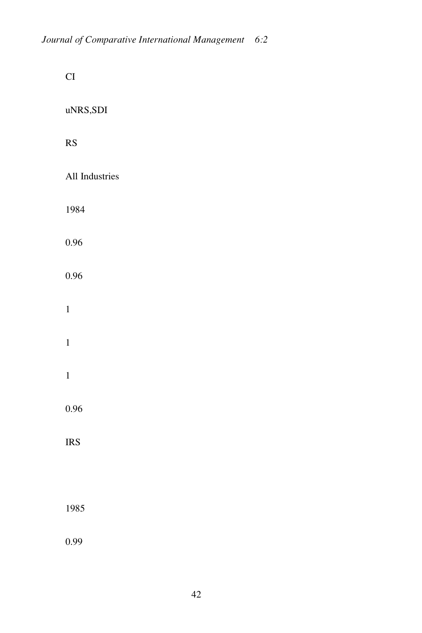| CI                     |
|------------------------|
| uNRS,SDI               |
| $\overline{\text{RS}}$ |
| All Industries         |
| 1984                   |
| 0.96                   |
| 0.96                   |
| $\mathbf 1$            |
| $\mathbf{1}$           |
| $\mathbf{1}$           |
| 0.96                   |
| <b>IRS</b>             |
|                        |
| 1985                   |
| 0.99                   |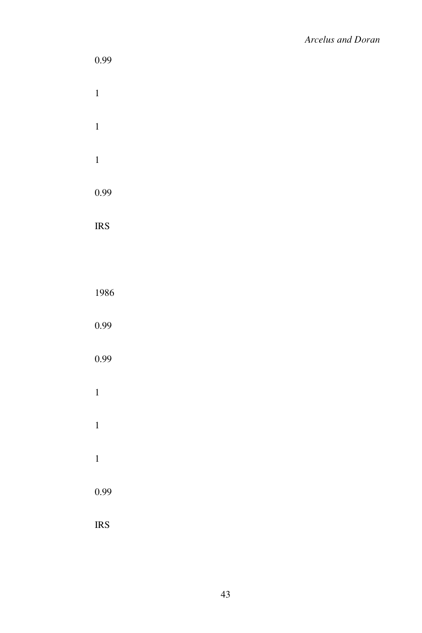| 0.99         |  |  |  |
|--------------|--|--|--|
| $\mathbf{1}$ |  |  |  |
| $\mathbf{1}$ |  |  |  |
| $\mathbf{1}$ |  |  |  |
| 0.99         |  |  |  |
| <b>IRS</b>   |  |  |  |
|              |  |  |  |
| 1986         |  |  |  |
| 0.99         |  |  |  |
| 0.99         |  |  |  |
| $\mathbf{1}$ |  |  |  |
| $\mathbf{1}$ |  |  |  |
| $\mathbf{1}$ |  |  |  |
| 0.99         |  |  |  |
| <b>IRS</b>   |  |  |  |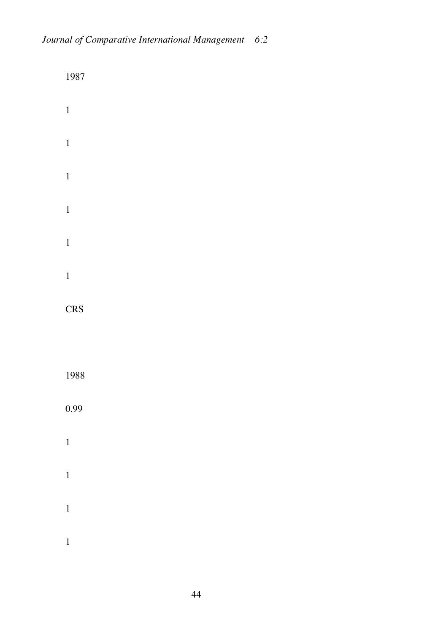| 1987         |  |  |  |
|--------------|--|--|--|
| $\mathbf{1}$ |  |  |  |
| $\mathbf{1}$ |  |  |  |
| $\mathbf{1}$ |  |  |  |
| $\mathbf{1}$ |  |  |  |
| $\mathbf{1}$ |  |  |  |
| $\mathbf{1}$ |  |  |  |
| <b>CRS</b>   |  |  |  |
|              |  |  |  |
| 1988         |  |  |  |
| 0.99         |  |  |  |
| $\mathbf{1}$ |  |  |  |
| $\mathbf{1}$ |  |  |  |
| $\mathbf{1}$ |  |  |  |
| $\mathbf{1}$ |  |  |  |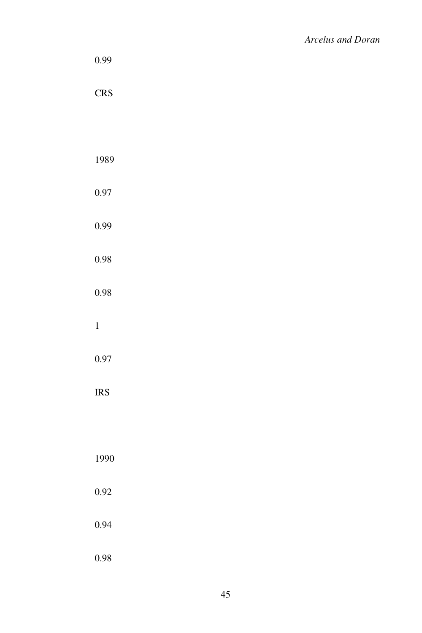| 0.99         |  |  |  |
|--------------|--|--|--|
| <b>CRS</b>   |  |  |  |
|              |  |  |  |
| 1989         |  |  |  |
| $0.97\,$     |  |  |  |
| 0.99         |  |  |  |
| 0.98         |  |  |  |
| 0.98         |  |  |  |
| $\mathbf{1}$ |  |  |  |
| 0.97         |  |  |  |
| <b>IRS</b>   |  |  |  |
|              |  |  |  |
| 1990         |  |  |  |
| 0.92         |  |  |  |
| 0.94         |  |  |  |
| 0.98         |  |  |  |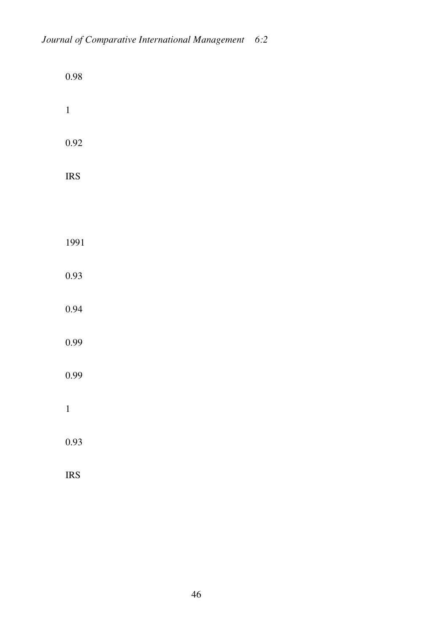| 0.98         |  |  |  |
|--------------|--|--|--|
| $\mathbf 1$  |  |  |  |
| 0.92         |  |  |  |
| <b>IRS</b>   |  |  |  |
|              |  |  |  |
| 1991         |  |  |  |
| 0.93         |  |  |  |
| 0.94         |  |  |  |
| 0.99         |  |  |  |
| 0.99         |  |  |  |
| $\mathbf{1}$ |  |  |  |
| 0.93         |  |  |  |
| <b>IRS</b>   |  |  |  |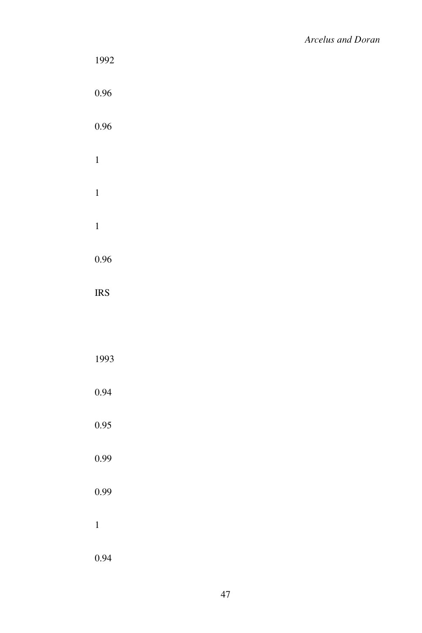| 1992         |  |  |  |
|--------------|--|--|--|
| 0.96         |  |  |  |
| 0.96         |  |  |  |
| $\mathbf{1}$ |  |  |  |
| $\mathbf{1}$ |  |  |  |
| $\mathbf{1}$ |  |  |  |
| 0.96         |  |  |  |
| <b>IRS</b>   |  |  |  |
|              |  |  |  |
| 1993         |  |  |  |
| 0.94         |  |  |  |
| 0.95         |  |  |  |
| 0.99         |  |  |  |
| 0.99         |  |  |  |
| $\mathbf{1}$ |  |  |  |
| 0.94         |  |  |  |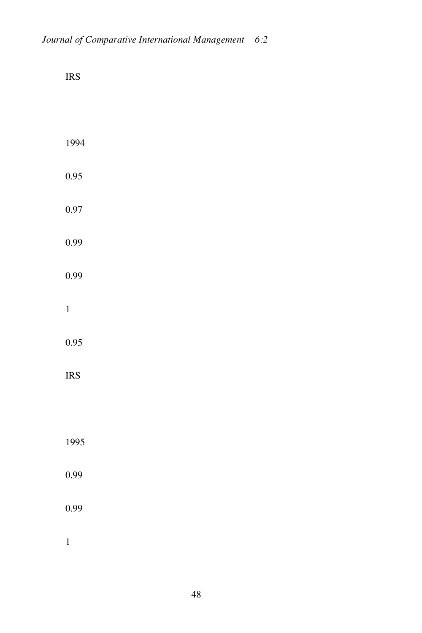| <b>IRS</b>   |  |  |  |
|--------------|--|--|--|
|              |  |  |  |
| 1994         |  |  |  |
| 0.95         |  |  |  |
| 0.97         |  |  |  |
| 0.99         |  |  |  |
| 0.99         |  |  |  |
| $\mathbf{1}$ |  |  |  |
| 0.95         |  |  |  |
| <b>IRS</b>   |  |  |  |
|              |  |  |  |
| 1995         |  |  |  |
| 0.99         |  |  |  |
| 0.99         |  |  |  |
| $\mathbf{1}$ |  |  |  |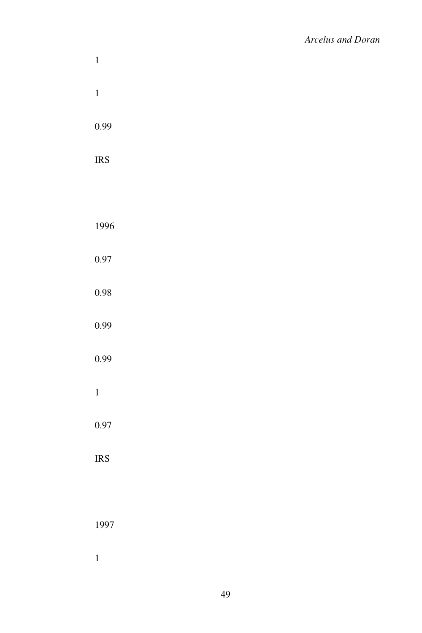| $\mathbf{1}$         |  |  |
|----------------------|--|--|
| $\mathbf{1}$         |  |  |
| 0.99                 |  |  |
| $\operatorname{IRS}$ |  |  |
|                      |  |  |
| 1996                 |  |  |
| 0.97                 |  |  |
| 0.98                 |  |  |
| 0.99                 |  |  |
| 0.99                 |  |  |
| $\mathbf{1}$         |  |  |
| 0.97                 |  |  |
| $\operatorname{IRS}$ |  |  |
|                      |  |  |
| 1997                 |  |  |
| $\mathbf{1}$         |  |  |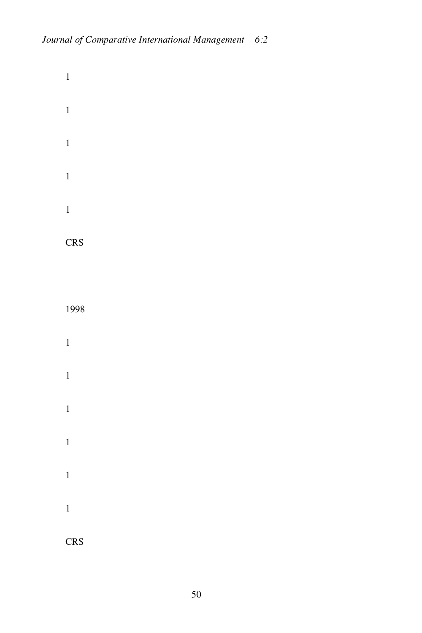CRS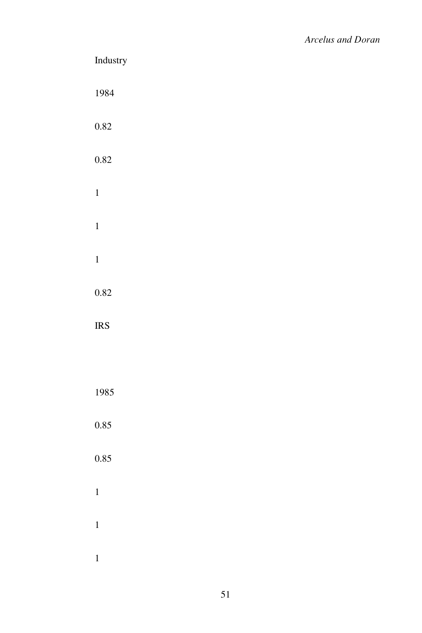| $\operatorname{Industry}$ |  |  |
|---------------------------|--|--|
| 1984                      |  |  |
| $0.82\,$                  |  |  |
| $0.82\,$                  |  |  |
| $\mathbf{1}$              |  |  |
| $\mathbf{1}$              |  |  |
| $\mathbf{1}$              |  |  |
| $0.82\,$                  |  |  |
| <b>IRS</b>                |  |  |
|                           |  |  |
| 1985                      |  |  |
| 0.85                      |  |  |
| 0.85                      |  |  |
| $\mathbf{1}$              |  |  |
| $\mathbf{1}$              |  |  |
| $\mathbf{1}$              |  |  |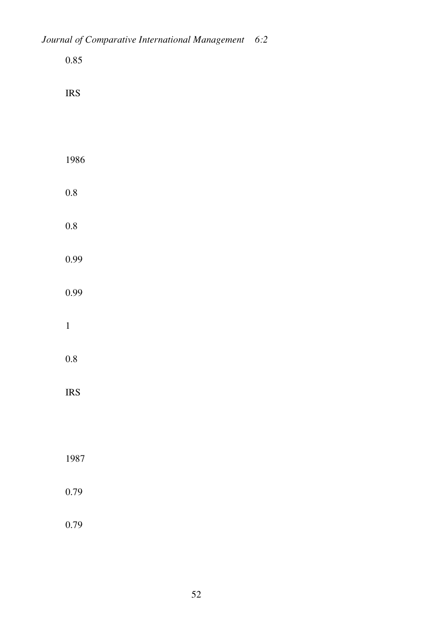| 0.85         |  |  |  |
|--------------|--|--|--|
| <b>IRS</b>   |  |  |  |
|              |  |  |  |
| 1986         |  |  |  |
| 0.8          |  |  |  |
| 0.8          |  |  |  |
| 0.99         |  |  |  |
| 0.99         |  |  |  |
| $\mathbf{1}$ |  |  |  |
| 0.8          |  |  |  |
| <b>IRS</b>   |  |  |  |
|              |  |  |  |
| 1987         |  |  |  |
| 0.79         |  |  |  |
| 0.79         |  |  |  |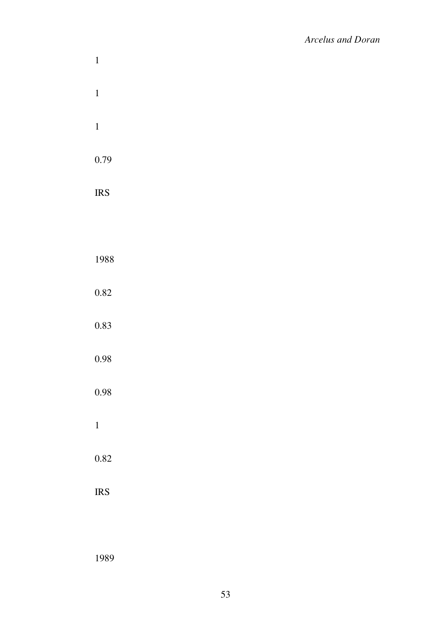| $\mathbf{1}$ |  |  |  |
|--------------|--|--|--|
| $\mathbf{1}$ |  |  |  |
| $\mathbf{1}$ |  |  |  |
| 0.79         |  |  |  |
| <b>IRS</b>   |  |  |  |
|              |  |  |  |
| 1988         |  |  |  |
| 0.82         |  |  |  |
| 0.83         |  |  |  |
| 0.98         |  |  |  |
| 0.98         |  |  |  |
| $\mathbf{1}$ |  |  |  |
| 0.82         |  |  |  |
| <b>IRS</b>   |  |  |  |
|              |  |  |  |

1989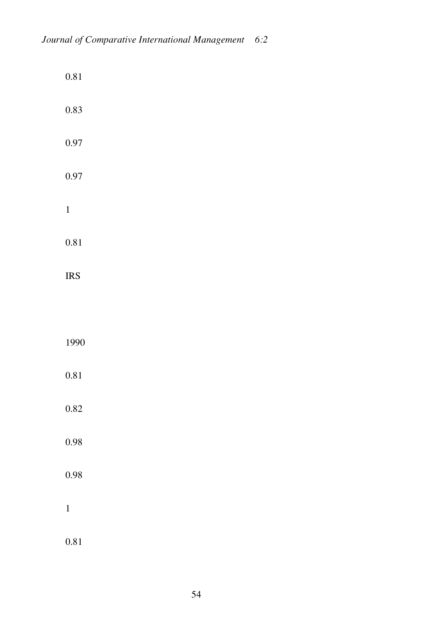| $0.81\,$     |  |  |  |
|--------------|--|--|--|
| $0.83\,$     |  |  |  |
| 0.97         |  |  |  |
| 0.97         |  |  |  |
| $\,1\,$      |  |  |  |
| $0.81\,$     |  |  |  |
| <b>IRS</b>   |  |  |  |
|              |  |  |  |
| 1990         |  |  |  |
| 0.81         |  |  |  |
| $0.82\,$     |  |  |  |
| 0.98         |  |  |  |
| 0.98         |  |  |  |
| $\mathbf{1}$ |  |  |  |
| 0.81         |  |  |  |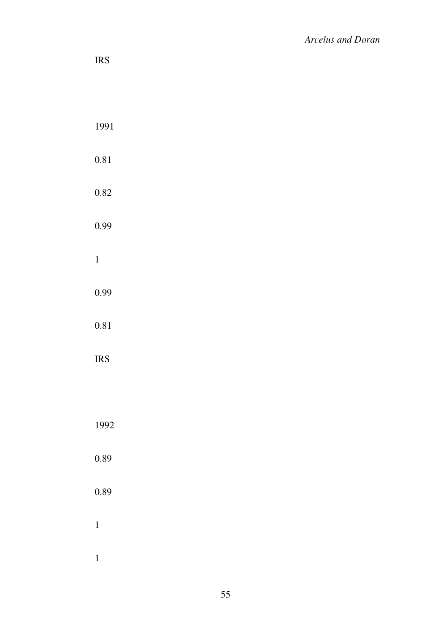| $\operatorname{IRS}$ |  |  |  |
|----------------------|--|--|--|
|                      |  |  |  |
| 1991                 |  |  |  |
| $0.81\,$             |  |  |  |
| 0.82                 |  |  |  |
| 0.99                 |  |  |  |
| $\mathbf{1}$         |  |  |  |
| 0.99                 |  |  |  |
| $0.81\,$             |  |  |  |
| $\operatorname{IRS}$ |  |  |  |
|                      |  |  |  |
| 1992                 |  |  |  |
| 0.89                 |  |  |  |
| $\rm 0.89$           |  |  |  |
| $\mathbf{1}$         |  |  |  |
| $\overline{1}$       |  |  |  |